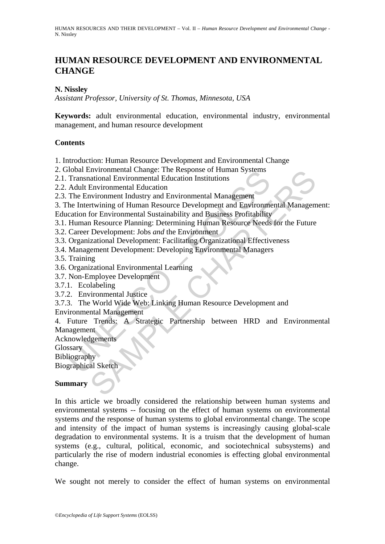# **HUMAN RESOURCE DEVELOPMENT AND ENVIRONMENTAL CHANGE**

### **N. Nissley**

*Assistant Professor, University of St. Thomas, Minnesota, USA* 

**Keywords:** adult environmental education, environmental industry, environmental management, and human resource development

#### **Contents**

- 1. Introduction: Human Resource Development and Environmental Change
- 2. Global Environmental Change: The Response of Human Systems
- 2.1. Transnational Environmental Education Institutions
- 2.2. Adult Environmental Education
- 2.3. The Environment Industry and Environmental Management
- 3. The Intertwining of Human Resource Development and Environmental Management:
- Education for Environmental Sustainability and Business Profitability
- 3.1. Human Resource Planning: Determining Human Resource Needs for the Future
- 3.2. Career Development: Jobs *and* the Environment
- 3.3. Organizational Development: Facilitating Organizational Effectiveness
- 3.4. Management Development: Developing Environmental Managers
- 3.5. Training
- 3.6. Organizational Environmental Learning
- 3.7. Non-Employee Development
- 3.7.1. Ecolabeling
- 3.7.2. Environmental Justice
- 3.7.3. The World Wide Web: Linking Human Resource Development and
- Environmental Management

Transmissional Environmental Change. The Response of Fundal Systems<br>
Transmational Environmental Education Institutions<br>
Transmational Environmental Education Institutions<br>
The Environmental Education<br>
The Environmental Su Environmental Change: The Kesponse of Human Systems<br>
Intronmental Change: The Kesponse of Human Systems<br>
Environmental Education Institutions<br>
Environmental Education<br>
Invironmental Education<br>
Information and Environmental 4. Future Trends: A Strategic Partnership between HRD and Environmental Management

Acknowledgements

**Glossary** 

Bibliography

Biographical Sketch

### **Summary**

In this article we broadly considered the relationship between human systems and environmental systems -- focusing on the effect of human systems on environmental systems *and* the response of human systems to global environmental change. The scope and intensity of the impact of human systems is increasingly causing global-scale degradation to environmental systems. It is a truism that the development of human systems (e.g., cultural, political, economic, and sociotechnical subsystems) and particularly the rise of modern industrial economies is effecting global environmental change.

We sought not merely to consider the effect of human systems on environmental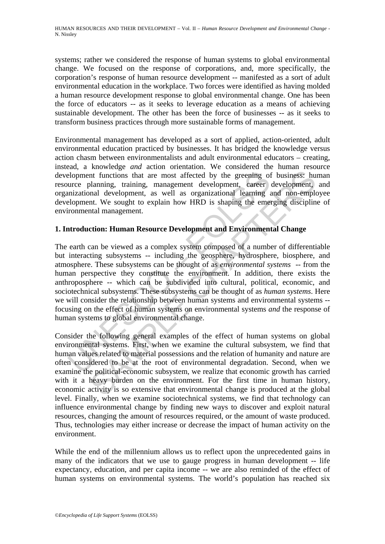systems; rather we considered the response of human systems to global environmental change. We focused on the response of corporations, and, more specifically, the corporation's response of human resource development -- manifested as a sort of adult environmental education in the workplace. Two forces were identified as having molded a human resource development response to global environmental change. One has been the force of educators -- as it seeks to leverage education as a means of achieving sustainable development. The other has been the force of businesses -- as it seeks to transform business practices through more sustainable forms of management.

Environmental management has developed as a sort of applied, action-oriented, adult environmental education practiced by businesses. It has bridged the knowledge versus action chasm between environmentalists and adult environmental educators – creating, instead, a knowledge *and* action orientation. We considered the human resource development functions that are most affected by the greening of business: human resource planning, training, management development, career development, and organizational development, as well as organizational learning and non-employee development. We sought to explain how HRD is shaping the emerging discipline of environmental management.

## **1. Introduction: Human Resource Development and Environmental Change**

elopment functions that are most affected by the greening of<br>elopment functions that are most affected by the greening of<br>urce planning, training, management development, career<br>elopment. We sought to explain how HRD is sh In three three states and the production of the method of the method of the states and every in the product and the soley by the state of the soley of the sought to explain how HRD is shaping the emerging disciplination. I The earth can be viewed as a complex system composed of a number of differentiable but interacting subsystems -- including the geosphere, hydrosphere, biosphere, and atmosphere. These subsystems can be thought of as *environmental systems* -- from the human perspective they constitute the environment. In addition, there exists the anthroposphere -- which can be subdivided into cultural, political, economic, and sociotechnical subsystems. These subsystems can be thought of as *human systems*. Here we will consider the relationship between human systems and environmental systems - focusing on the effect of human systems on environmental systems *and* the response of human systems to global environmental change.

Consider the following general examples of the effect of human systems on global environmental systems. First, when we examine the cultural subsystem, we find that human values related to material possessions and the relation of humanity and nature are often considered to be at the root of environmental degradation. Second, when we examine the political-economic subsystem, we realize that economic growth has carried with it a heavy burden on the environment. For the first time in human history, economic activity is so extensive that environmental change is produced at the global level. Finally, when we examine sociotechnical systems, we find that technology can influence environmental change by finding new ways to discover and exploit natural resources, changing the amount of resources required, or the amount of waste produced. Thus, technologies may either increase or decrease the impact of human activity on the environment.

While the end of the millennium allows us to reflect upon the unprecedented gains in many of the indicators that we use to gauge progress in human development -- life expectancy, education, and per capita income -- we are also reminded of the effect of human systems on environmental systems. The world's population has reached six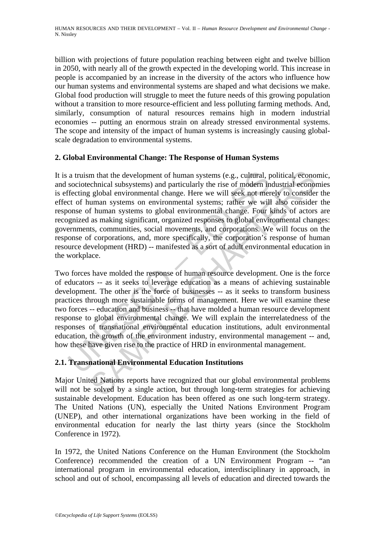billion with projections of future population reaching between eight and twelve billion in 2050, with nearly all of the growth expected in the developing world. This increase in people is accompanied by an increase in the diversity of the actors who influence how our human systems and environmental systems are shaped and what decisions we make. Global food production will struggle to meet the future needs of this growing population without a transition to more resource-efficient and less polluting farming methods. And, similarly, consumption of natural resources remains high in modern industrial economies -- putting an enormous strain on already stressed environmental systems. The scope and intensity of the impact of human systems is increasingly causing globalscale degradation to environmental systems.

## **2. Global Environmental Change: The Response of Human Systems**

a truism that the development of human systems (e.g., cultural, p sociotechnical subsystems) and particularly the rise of modern in fecting global environmental change. Here we will seek not ment of human systems on enviro m that the development of human systems (e.g., cultural, political, econo<br>cchnical subsystems) and particularly the rise of modern industrial econo<br>g global environmental change. Here we will seek not merely to consider<br>f It is a truism that the development of human systems (e.g., cultural, political, economic, and sociotechnical subsystems) and particularly the rise of modern industrial economies is effecting global environmental change. Here we will seek not merely to consider the effect of human systems on environmental systems; rather we will also consider the response of human systems to global environmental change. Four kinds of actors are recognized as making significant, organized responses to global environmental changes: governments, communities, social movements, and corporations. We will focus on the response of corporations, and, more specifically, the corporation's response of human resource development (HRD) -- manifested as a sort of adult environmental education in the workplace.

Two forces have molded the response of human resource development. One is the force of educators -- as it seeks to leverage education as a means of achieving sustainable development. The other is the force of businesses -- as it seeks to transform business practices through more sustainable forms of management. Here we will examine these two forces -- education and business -- that have molded a human resource development response to global environmental change. We will explain the interrelatedness of the responses of transnational environmental education institutions, adult environmental education, the growth of the environment industry, environmental management -- and, how these have given rise to the practice of HRD in environmental management.

# **2.1. Transnational Environmental Education Institutions**

Major United Nations reports have recognized that our global environmental problems will not be solved by a single action, but through long-term strategies for achieving sustainable development. Education has been offered as one such long-term strategy. The United Nations (UN), especially the United Nations Environment Program (UNEP), and other international organizations have been working in the field of environmental education for nearly the last thirty years (since the Stockholm Conference in 1972).

In 1972, the United Nations Conference on the Human Environment (the Stockholm Conference) recommended the creation of a UN Environment Program -- "an international program in environmental education, interdisciplinary in approach, in school and out of school, encompassing all levels of education and directed towards the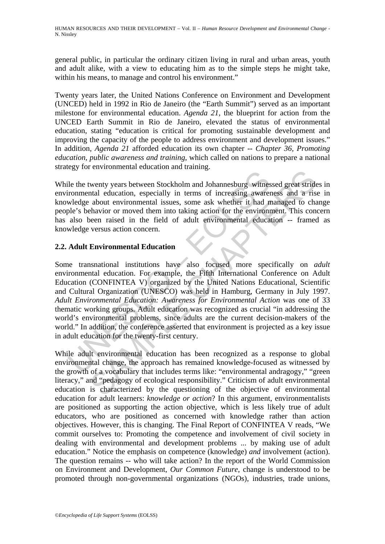general public, in particular the ordinary citizen living in rural and urban areas, youth and adult alike, with a view to educating him as to the simple steps he might take, within his means, to manage and control his environment."

Twenty years later, the United Nations Conference on Environment and Development (UNCED) held in 1992 in Rio de Janeiro (the "Earth Summit") served as an important milestone for environmental education. *Agenda 21*, the blueprint for action from the UNCED Earth Summit in Rio de Janeiro, elevated the status of environmental education, stating "education is critical for promoting sustainable development and improving the capacity of the people to address environment and development issues." In addition, *Agenda 21* afforded education its own chapter -- *Chapter 36, Promoting education, public awareness and training*, which called on nations to prepare a national strategy for environmental education and training.

While the twenty years between Stockholm and Johannesburg witnessed great strides in environmental education, especially in terms of increasing awareness and a rise in knowledge about environmental issues, some ask whether it had managed to change people's behavior or moved them into taking action for the environment. This concern has also been raised in the field of adult environmental education -- framed as knowledge versus action concern.

## **2.2. Adult Environmental Education**

Example about environmental sissues, some as twitched above the approached above the approached issues, some ask whether it had not also been raised in the field of adult environmental education also been raised in the fie The material control of the question and Johannesburg witnessed great striduction<br>that education, especially in terms of increasing awareness and a ris<br>about environmental issues, some ask whether it had managed to chahavi Some transnational institutions have also focused more specifically on *adult* environmental education. For example, the Fifth International Conference on Adult Education (CONFINTEA V) organized by the United Nations Educational, Scientific and Cultural Organization (UNESCO) was held in Hamburg, Germany in July 1997. *Adult Environmental Education: Awareness for Environmental Action* was one of 33 thematic working groups. Adult education was recognized as crucial "in addressing the world's environmental problems, since adults are the current decision-makers of the world." In addition, the conference asserted that environment is projected as a key issue in adult education for the twenty-first century.

While adult environmental education has been recognized as a response to global environmental change, the approach has remained knowledge-focused as witnessed by the growth of a vocabulary that includes terms like: "environmental andragogy," "green literacy," and "pedagogy of ecological responsibility." Criticism of adult environmental education is characterized by the questioning of the objective of environmental education for adult learners: *knowledge or action*? In this argument, environmentalists are positioned as supporting the action objective, which is less likely true of adult educators, who are positioned as concerned with knowledge rather than action objectives. However, this is changing. The Final Report of CONFINTEA V reads, "We commit ourselves to: Promoting the competence and involvement of civil society in dealing with environmental and development problems ... by making use of adult education." Notice the emphasis on competence (knowledge) *and* involvement (action). The question remains -- who will take action? In the report of the World Commission on Environment and Development, *Our Common Future*, change is understood to be promoted through non-governmental organizations (NGOs), industries, trade unions,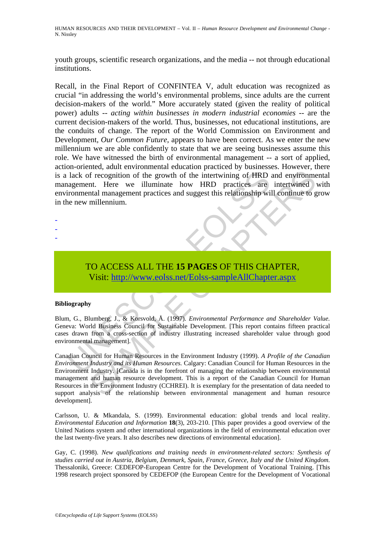youth groups, scientific research organizations, and the media -- not through educational institutions.

lack of recognition of the growth of the intertwining of HRD<br>agement. Here we illuminate how HRD practices are<br>ronmental management practices and suggest this relationship wi<br>ne new millennium.<br>TO ACCESS ALL THE 15 PAGES O Recall, in the Final Report of CONFINTEA V, adult education was recognized as crucial "in addressing the world's environmental problems, since adults are the current decision-makers of the world." More accurately stated (given the reality of political power) adults -- *acting within businesses in modern industrial economies* -- are the current decision-makers of the world. Thus, businesses, not educational institutions, are the conduits of change. The report of the World Commission on Environment and Development, *Our Common Future*, appears to have been correct. As we enter the new millennium we are able confidently to state that we are seeing businesses assume this role. We have witnessed the birth of environmental management -- a sort of applied, action-oriented, adult environmental education practiced by businesses. However, there is a lack of recognition of the growth of the intertwining of HRD and environmental management. Here we illuminate how HRD practices are intertwined with environmental management practices and suggest this relationship will continue to grow in the new millennium.

TO ACCESS ALL THE **15 PAGES** OF THIS CHAPTER, Visit: http://www.eolss.net/Eolss-sampleAllChapter.aspx

#### **Bibliography**

- - -

Blum, G., Blumberg, J., & Korsvold, Å. (1997). *Environmental Performance and Shareholder Value.* Geneva: World Business Council for Sustainable Development. [This report contains fifteen practical cases drawn from a cross-section of industry illustrating increased shareholder value through good environmental management].

The recognition of the growth of the intertwining of HRD and environment.<br>
Int. Here we illuminate how HRD practices are intertwined<br>
Int. Here we illuminate how HRD practices are intertwined<br>
Intelnational management prac Canadian Council for Human Resources in the Environment Industry (1999). *A Profile of the Canadian Environment Industry and its Human Resources.* Calgary: Canadian Council for Human Resources in the Environment Industry. [Canada is in the forefront of managing the relationship between environmental management and human resource development. This is a report of the Canadian Council for Human Resources in the Environment Industry (CCHREI). It is exemplary for the presentation of data needed to support analysis of the relationship between environmental management and human resource development].

Carlsson, U. & Mkandala, S. (1999). Environmental education: global trends and local reality. *Environmental Education and Information* **18**(3), 203-210. [This paper provides a good overview of the United Nations system and other international organizations in the field of environmental education over the last twenty-five years. It also describes new directions of environmental education].

Gay, C. (1998). *New qualifications and training needs in environment-related sectors: Synthesis of studies carried out in Austria, Belgium, Denmark, Spain, France, Greece, Italy and the United Kingdom.* Thessaloniki, Greece: CEDEFOP-European Centre for the Development of Vocational Training. [This 1998 research project sponsored by CEDEFOP (the European Centre for the Development of Vocational